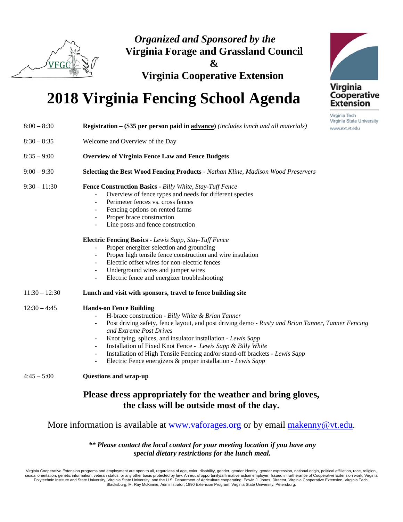

*Organized and Sponsored by the*  **Virginia Forage and Grassland Council &** 

**Virginia Cooperative Extension** 

## **2018 Virginia Fencing School Agenda**

| $8:00 - 8:30$   | <b>Registration – (\$35 per person paid in advance)</b> (includes lunch and all materials)                                                                                                                                                                                                                                                                                                                                                                                                                                                                                  | Virginia State Unive<br>www.ext.vt.edu |  |  |  |  |
|-----------------|-----------------------------------------------------------------------------------------------------------------------------------------------------------------------------------------------------------------------------------------------------------------------------------------------------------------------------------------------------------------------------------------------------------------------------------------------------------------------------------------------------------------------------------------------------------------------------|----------------------------------------|--|--|--|--|
| $8:30 - 8:35$   | Welcome and Overview of the Day                                                                                                                                                                                                                                                                                                                                                                                                                                                                                                                                             |                                        |  |  |  |  |
| $8:35 - 9:00$   | <b>Overview of Virginia Fence Law and Fence Budgets</b>                                                                                                                                                                                                                                                                                                                                                                                                                                                                                                                     |                                        |  |  |  |  |
| $9:00 - 9:30$   | <b>Selecting the Best Wood Fencing Products - Nathan Kline, Madison Wood Preservers</b>                                                                                                                                                                                                                                                                                                                                                                                                                                                                                     |                                        |  |  |  |  |
| $9:30 - 11:30$  | Fence Construction Basics - Billy White, Stay-Tuff Fence<br>Overview of fence types and needs for different species<br>Perimeter fences vs. cross fences<br>Fencing options on rented farms<br>Proper brace construction<br>Line posts and fence construction                                                                                                                                                                                                                                                                                                               |                                        |  |  |  |  |
|                 | <b>Electric Fencing Basics - Lewis Sapp, Stay-Tuff Fence</b><br>Proper energizer selection and grounding<br>Proper high tensile fence construction and wire insulation<br>Electric offset wires for non-electric fences<br>Underground wires and jumper wires<br>Electric fence and energizer troubleshooting                                                                                                                                                                                                                                                               |                                        |  |  |  |  |
| $11:30 - 12:30$ | Lunch and visit with sponsors, travel to fence building site                                                                                                                                                                                                                                                                                                                                                                                                                                                                                                                |                                        |  |  |  |  |
| $12:30 - 4:45$  | <b>Hands-on Fence Building</b><br>H-brace construction - Billy White & Brian Tanner<br>Post driving safety, fence layout, and post driving demo - Rusty and Brian Tanner, Tanner Fencing<br>and Extreme Post Drives<br>Knot tying, splices, and insulator installation - Lewis Sapp<br>Installation of Fixed Knot Fence - Lewis Sapp & Billy White<br>$\blacksquare$<br>Installation of High Tensile Fencing and/or stand-off brackets - Lewis Sapp<br>$\overline{\phantom{a}}$<br>Electric Fence energizers & proper installation - Lewis Sapp<br>$\overline{\phantom{a}}$ |                                        |  |  |  |  |
| $4:45 - 5:00$   | <b>Questions and wrap-up</b>                                                                                                                                                                                                                                                                                                                                                                                                                                                                                                                                                |                                        |  |  |  |  |
|                 | Please dress appropriately for the weather and bring gloves,<br>the class will be outside most of the day.                                                                                                                                                                                                                                                                                                                                                                                                                                                                  |                                        |  |  |  |  |

## More information is available at www.vaforages.org or by email makenny@vt.edu.

*\*\* Please contact the local contact for your meeting location if you have any special dietary restrictions for the lunch meal.* 

Virginia Cooperative Extension programs and employment are open to all, regardless of age, color, disability, gender, gender identity, gender expression, national origin, political affiliation, race, religion,<br>sexual orien Blacksburg; M. Ray McKinnie, Administrator, 1890 Extension Program, Virginia State University, Petersburg.



Virginia Tech University